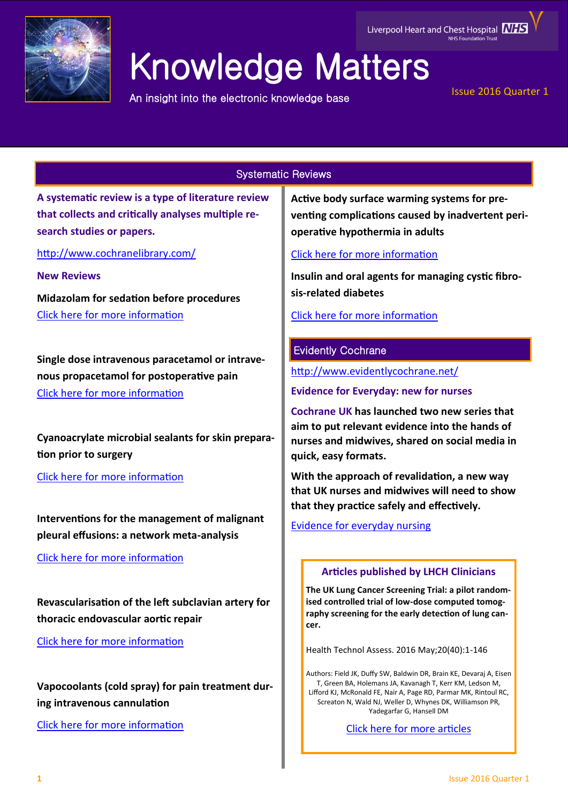

# Knowledge Matters

An insight into the electronic knowledge base

Liverpool Heart and Chest Hospital **NHS** 

## Issue 2016 Quarter 1

## Systematic Reviews

**A systematic review is a type of literature review that collects and critically analyses multiple research studies or papers.** 

<http://www.cochranelibrary.com/>

**New Reviews**

**Midazolam for sedation before procedures**  [Click here for more information](http://onlinelibrary.wiley.com/doi/10.1002/14651858.CD009491.pub2/full#footer-article-info)

**Single dose intravenous paracetamol or intravenous propacetamol for postoperative pain** [Click here for more information](http://onlinelibrary.wiley.com/doi/10.1002/14651858.CD007126.pub3/full)

**Cyanoacrylate microbial sealants for skin preparation prior to surgery**

[Click here for more information](http://onlinelibrary.wiley.com/doi/10.1002/14651858.CD008062.pub4/full)

**Interventions for the management of malignant pleural effusions: a network meta-analysis**

[Click here for more information](http://onlinelibrary.wiley.com/doi/10.1002/14651858.CD010529.pub2/full)

**Revascularisation of the left subclavian artery for thoracic endovascular aortic repair**

[Click here for more information](http://onlinelibrary.wiley.com/doi/10.1002/14651858.CD011738.pub2/full)

**Vapocoolants (cold spray) for pain treatment during intravenous cannulation**

[Click here for more information](http://onlinelibrary.wiley.com/doi/10.1002/14651858.CD009484.pub2/full)

**Active body surface warming systems for preventing complications caused by inadvertent perioperative hypothermia in adults**

# [Click here for more information](http://onlinelibrary.wiley.com/doi/10.1002/14651858.CD009016.pub2/full)

**Insulin and oral agents for managing cystic fibrosis-related diabetes**

[Click here for more information](http://onlinelibrary.wiley.com/doi/10.1002/14651858.CD004730.pub4/full)

## Evidently Cochrane

<http://www.evidentlycochrane.net/>

**Evidence for Everyday: new for nurses**

**Cochrane UK has launched two new series that aim to put relevant evidence into the hands of nurses and midwives, shared on social media in quick, easy formats.** 

**With the approach of revalidation, a new way that UK nurses and midwives will need to show that they practice safely and effectively.**

[Evidence for everyday nursing](http://www.evidentlycochrane.net/category/evidence-for-everyday-nursing/)

## **Articles published by LHCH Clinicians**

**The UK Lung Cancer Screening Trial: a pilot randomised controlled trial of low-dose computed tomography screening for the early detection of lung cancer.**

Health Technol Assess. 2016 May;20(40):1-146

Authors: Field JK, Duffy SW, Baldwin DR, Brain KE, Devaraj A, Eisen T, Green BA, Holemans JA, Kavanagh T, Kerr KM, Ledson M, Lifford KJ, McRonald FE, Nair A, Page RD, Parmar MK, Rintoul RC, Screaton N, Wald NJ, Weller D, Whynes DK, Williamson PR, Yadegarfar G, Hansell DM

[Click here for more articles](http://eutils.ncbi.nlm.nih.gov/entrez/eutils/erss.cgi?rss_guid=1jmC0p0kwOiCcrGq4UdlH-eTmaOgJ316E2QW_6DKsMnynMiQ2d)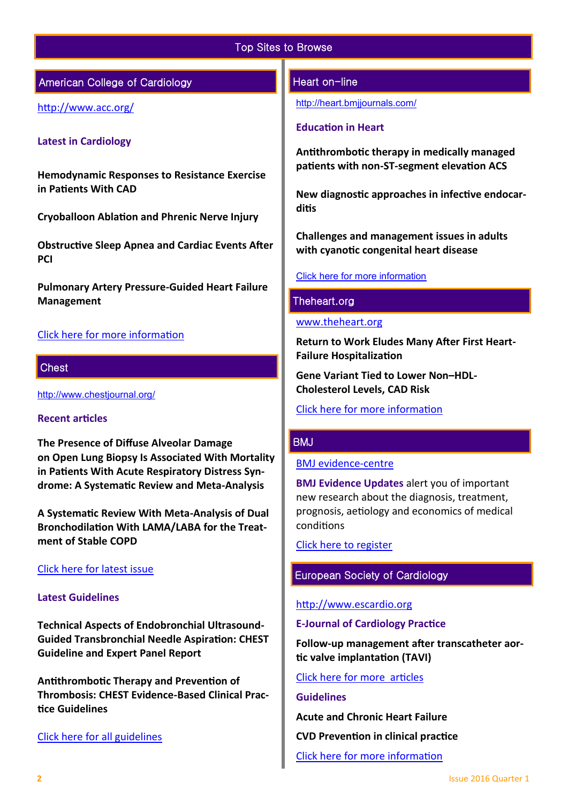## Top Sites to Browse

## American College of Cardiology

<http://www.acc.org/>

## **Latest in Cardiology**

**Hemodynamic Responses to Resistance Exercise in Patients With CAD** 

**Cryoballoon Ablation and Phrenic Nerve Injury** 

**Obstructive Sleep Apnea and Cardiac Events After PCI** 

**Pulmonary Artery Pressure-Guided Heart Failure Management** 

## [Click here for more information](http://www.acc.org/latest-in-cardiology#sort=%40foriginalz32xpostedz32xdate86069%20descending)

## **Chest**

<http://www.chestjournal.org/>

## **Recent articles**

**The Presence of Diffuse Alveolar Damage on Open Lung Biopsy Is Associated With Mortality in Patients With Acute Respiratory Distress Syndrome: A Systematic Review and Meta-Analysis**

**A Systematic Review With Meta-Analysis of Dual Bronchodilation With LAMA/LABA for the Treatment of Stable COPD**

## [Click here for latest issue](http://journal.publications.chestnet.org/issue.aspx)

## **Latest Guidelines**

**Technical Aspects of Endobronchial Ultrasound-Guided Transbronchial Needle Aspiration: CHEST Guideline and Expert Panel Report**

**Antithrombotic Therapy and Prevention of Thrombosis: CHEST Evidence-Based Clinical Practice Guidelines**

## [Click here for all guidelines](http://journal.publications.chestnet.org/ss/guidelines.aspx)

## Heart on-line

<http://heart.bmjjournals.com/>

#### **Education in Heart**

**Antithrombotic therapy in medically managed patients with non-ST-segment elevation ACS**

**New diagnostic approaches in infective endocarditis**

**Challenges and management issues in adults with cyanotic congenital heart disease**

## [Click here for more information](http://heart.bmj.com/content/current)

## Theheart.org

#### [www.theheart.org](http://www.theheart.org/)

**Return to Work Eludes Many After First Heart-Failure Hospitalization**

**Gene Variant Tied to Lower Non–HDL-Cholesterol Levels, CAD Risk**

## [Click here for more information](http://www.medscape.com/cardiology?t=1)

## **BMJ**

## [BMJ evidence](http://plus.mcmaster.ca/EvidenceUpdates/Default.aspx)-centre

**BMJ Evidence Updates** alert you of important new research about the diagnosis, treatment, prognosis, aetiology and economics of medical conditions

[Click here to register](http://plus.mcmaster.ca/EvidenceUpdates/Registration.aspx)

# European Society of Cardiology

#### [http://www.escardio.org](http://www.escardio.org/Pages/index.aspx)

#### **E-Journal of Cardiology Practice**

**Follow-up management after transcatheter aortic valve implantation (TAVI)**

[Click here for more articles](http://www.escardio.org/Guidelines-%26-Education/Journals-and-publications/ESC-journals-family/E-journal-of-Cardiology-Practice/E-Journal-of-Cardiology-Practice)

#### **Guidelines**

**Acute and Chronic Heart Failure**

**CVD Prevention in clinical practice**

[Click here for more information](http://www.escardio.org/Guidelines-&-Education/Clinical-Practice-Guidelines/ESC-Clinical-Practice-Guidelines-list/listing)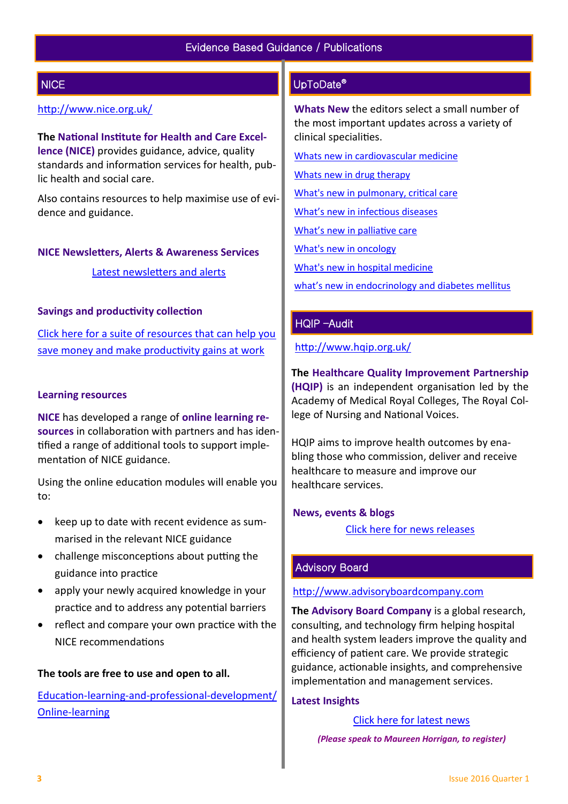# **NICE**

## <http://www.nice.org.uk/>

**The National Institute for Health and Care Excellence (NICE)** provides guidance, advice, quality standards and information services for health, public health and social care.

Also contains resources to help maximise use of evidence and guidance.

#### **NICE Newsletters, Alerts & Awareness Services**

[Latest newsletters and alerts](http://www.nice.org.uk/news/nice-newsletters-and-alerts)

## **Savings and productivity collection**

[Click here for a suite of resources that can help you](https://www.nice.org.uk/about/What-we-do/Our-Programmes/Savings-And-Productivity-Collection)  [save money and make productivity gains at work](https://www.nice.org.uk/about/What-we-do/Our-Programmes/Savings-And-Productivity-Collection)

## **Learning resources**

**NICE** has developed a range of **online learning resources** in collaboration with partners and has identified a range of additional tools to support implementation of NICE guidance.

Using the online education modules will enable you to:

- keep up to date with recent evidence as summarised in the relevant NICE guidance
- challenge misconceptions about putting the guidance into practice
- apply your newly acquired knowledge in your practice and to address any potential barriers
- reflect and compare your own practice with the NICE recommendations

## **The tools are free to use and open to all.**

Education-learning-and-professional-[development/](https://www.nice.org.uk/About/What-we-do/Into-practice/Education-learning-and-professional-development/Online-learning) Online-[learning](https://www.nice.org.uk/About/What-we-do/Into-practice/Education-learning-and-professional-development/Online-learning)

## UpToDate®

**Whats New** the editors select a small number of the most important updates across a variety of clinical specialities.

[Whats new in cardiovascular medicine](http://www.uptodate.com/contents/whats-new-in-cardiovascular-medicine)

[Whats new in drug therapy](http://www.uptodate.com/contents/whats-new-in-drug-therapy)

[What's new in pulmonary, critical care](http://www.uptodate.com/contents/whats-new-in-pulmonary-critical-care-and-sleep-medicine)

[What's new in infectious diseases](http://www.uptodate.com/contents/whats-new-in-infectious-diseases)

[What's new in palliative care](http://www.uptodate.com/contents/whats-new-in-palliative-care)

[What's new in oncology](http://www.uptodate.com/contents/whats-new-in-oncology)

[What's new in hospital medicine](http://www.uptodate.com/contents/whats-new-in-hospital-medicine)

[what's new in endocrinology and diabetes mellitus](http://www.uptodate.com/contents/whats-new-in-endocrinology-and-diabetes-mellitus)

## HQIP –Audit

<http://www.hqip.org.uk/>

**The Healthcare Quality Improvement Partnership (HQIP)** is an independent organisation led by the Academy of Medical Royal Colleges, The Royal College of Nursing and National Voices.

HQIP aims to improve health outcomes by enabling those who commission, deliver and receive healthcare to measure and improve our healthcare services.

## **News, events & blogs**

[Click here for news releases](http://www.hqip.org.uk/news-releases/)

## Advisory Board

## [http://www.advisoryboardcompany.com](http://www.advisoryboardcompany.com/)

**The Advisory Board Company** is a global research, consulting, and technology firm helping hospital and health system leaders improve the quality and efficiency of patient care. We provide strategic guidance, actionable insights, and comprehensive implementation and management services.

## **Latest Insights**

[Click here for latest news](http://www.advisory.com/International)

 *(Please speak to Maureen Horrigan, to register)*